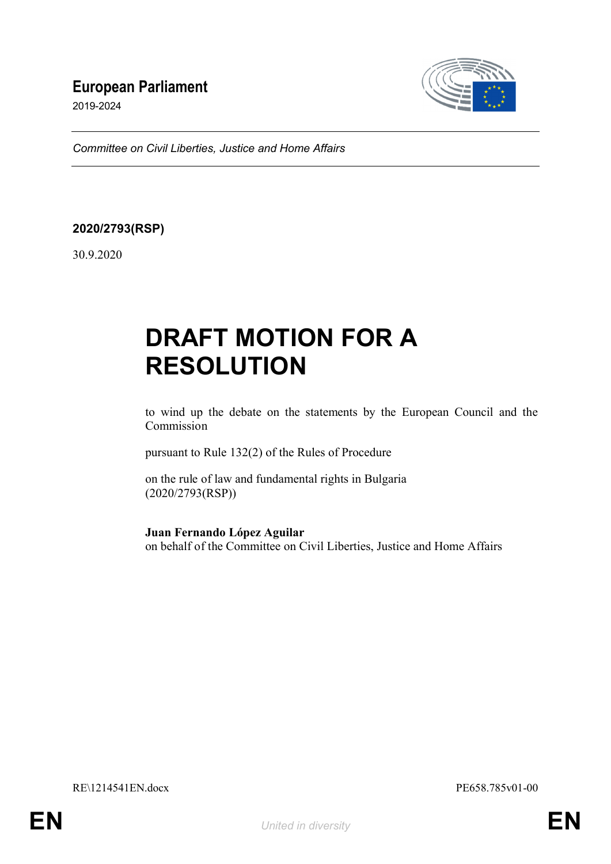# **European Parliament**

2019-2024



*Committee on Civil Liberties, Justice and Home Affairs*

# **2020/2793(RSP)**

30.9.2020

# **DRAFT MOTION FOR A RESOLUTION**

to wind up the debate on the statements by the European Council and the Commission

pursuant to Rule 132(2) of the Rules of Procedure

on the rule of law and fundamental rights in Bulgaria (2020/2793(RSP))

**Juan Fernando López Aguilar**

on behalf of the Committee on Civil Liberties, Justice and Home Affairs

RE\1214541EN.docx PE658.785v01-00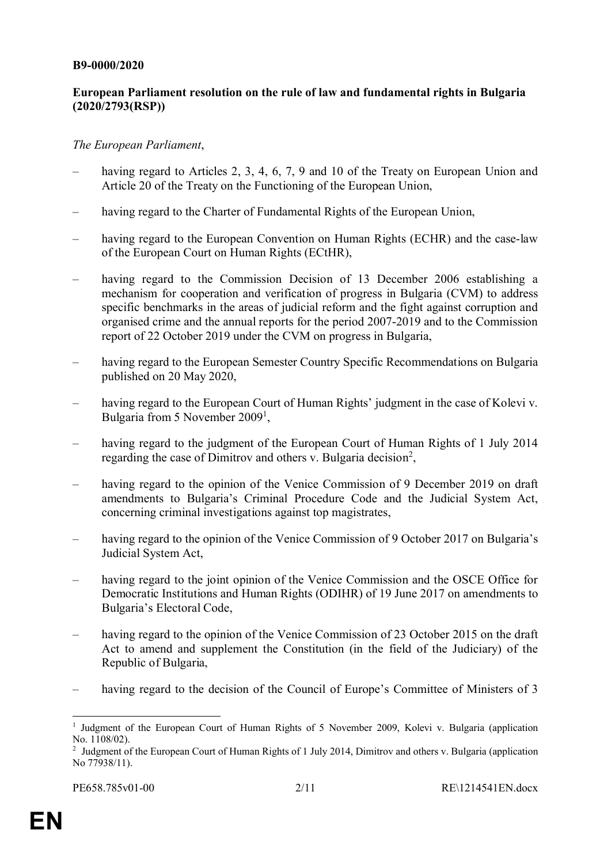#### **B9-0000/2020**

## **European Parliament resolution on the rule of law and fundamental rights in Bulgaria (2020/2793(RSP))**

### *The European Parliament*,

- having regard to Articles 2, 3, 4, 6, 7, 9 and 10 of the Treaty on European Union and Article 20 of the Treaty on the Functioning of the European Union,
- having regard to the Charter of Fundamental Rights of the European Union,
- having regard to the European Convention on Human Rights (ECHR) and the case-law of the European Court on Human Rights (ECtHR),
- having regard to the Commission Decision of 13 December 2006 establishing a mechanism for cooperation and verification of progress in Bulgaria (CVM) to address specific benchmarks in the areas of judicial reform and the fight against corruption and organised crime and the annual reports for the period 2007-2019 and to the Commission report of 22 October 2019 under the CVM on progress in Bulgaria,
- having regard to the European Semester Country Specific Recommendations on Bulgaria published on 20 May 2020,
- having regard to the European Court of Human Rights' judgment in the case of Kolevi v. Bulgaria from 5 November 2009<sup>1</sup>,
- having regard to the judgment of the European Court of Human Rights of 1 July 2014 regarding the case of Dimitrov and others v. Bulgaria decision<sup>2</sup>,
- having regard to the opinion of the Venice Commission of 9 December 2019 on draft amendments to Bulgaria's Criminal Procedure Code and the Judicial System Act, concerning criminal investigations against top magistrates,
- having regard to the opinion of the Venice Commission of 9 October 2017 on Bulgaria's Judicial System Act,
- having regard to the joint opinion of the Venice Commission and the OSCE Office for Democratic Institutions and Human Rights (ODIHR) of 19 June 2017 on amendments to Bulgaria's Electoral Code,
- having regard to the opinion of the Venice Commission of 23 October 2015 on the draft Act to amend and supplement the Constitution (in the field of the Judiciary) of the Republic of Bulgaria,
- having regard to the decision of the Council of Europe's Committee of Ministers of 3

<sup>&</sup>lt;sup>1</sup> Judgment of the European Court of Human Rights of 5 November 2009, Kolevi v. Bulgaria (application No. 1108/02).

<sup>&</sup>lt;sup>2</sup> Judgment of the European Court of Human Rights of 1 July 2014, Dimitrov and others v. Bulgaria (application No 77938/11).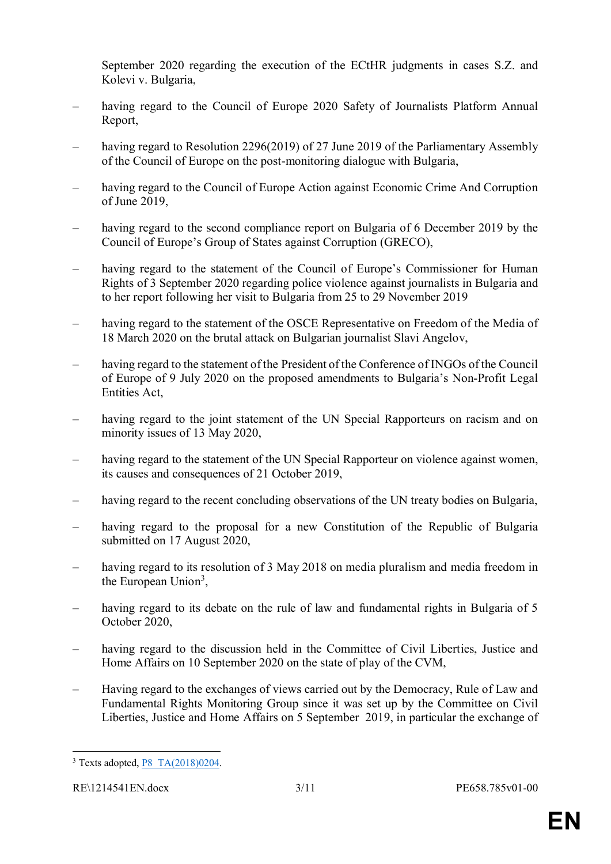September 2020 regarding the execution of the ECtHR judgments in cases S.Z. and Kolevi v. Bulgaria,

- having regard to the Council of Europe 2020 Safety of Journalists Platform Annual Report,
- having regard to Resolution 2296(2019) of 27 June 2019 of the Parliamentary Assembly of the Council of Europe on the post-monitoring dialogue with Bulgaria,
- having regard to the Council of Europe Action against Economic Crime And Corruption of June 2019,
- having regard to the second compliance report on Bulgaria of 6 December 2019 by the Council of Europe's Group of States against Corruption (GRECO),
- having regard to the statement of the Council of Europe's Commissioner for Human Rights of 3 September 2020 regarding police violence against journalists in Bulgaria and to her report following her visit to Bulgaria from 25 to 29 November 2019
- having regard to the statement of the OSCE Representative on Freedom of the Media of 18 March 2020 on the brutal attack on Bulgarian journalist Slavi Angelov,
- having regard to the statement of the President of the Conference of INGOs of the Council of Europe of 9 July 2020 on the proposed amendments to Bulgaria's Non-Profit Legal Entities Act,
- having regard to the joint statement of the UN Special Rapporteurs on racism and on minority issues of 13 May 2020,
- having regard to the statement of the UN Special Rapporteur on violence against women, its causes and consequences of 21 October 2019,
- having regard to the recent concluding observations of the UN treaty bodies on Bulgaria,
- having regard to the proposal for a new Constitution of the Republic of Bulgaria submitted on 17 August 2020,
- having regard to its resolution of 3 May 2018 on media pluralism and media freedom in the European Union<sup>3</sup>,
- having regard to its debate on the rule of law and fundamental rights in Bulgaria of 5 October 2020,
- having regard to the discussion held in the Committee of Civil Liberties, Justice and Home Affairs on 10 September 2020 on the state of play of the CVM,
- Having regard to the exchanges of views carried out by the Democracy, Rule of Law and Fundamental Rights Monitoring Group since it was set up by the Committee on Civil Liberties, Justice and Home Affairs on 5 September 2019, in particular the exchange of

 $\overline{a}$ <sup>3</sup> Texts adopted, **P8** TA(2018)0204.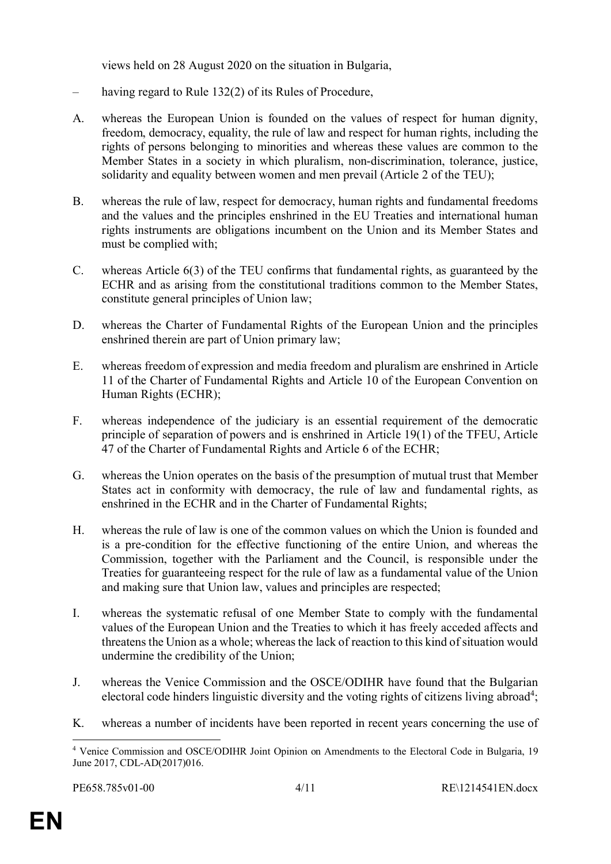views held on 28 August 2020 on the situation in Bulgaria,

- having regard to Rule 132(2) of its Rules of Procedure,
- A. whereas the European Union is founded on the values of respect for human dignity, freedom, democracy, equality, the rule of law and respect for human rights, including the rights of persons belonging to minorities and whereas these values are common to the Member States in a society in which pluralism, non-discrimination, tolerance, justice, solidarity and equality between women and men prevail (Article 2 of the TEU);
- B. whereas the rule of law, respect for democracy, human rights and fundamental freedoms and the values and the principles enshrined in the EU Treaties and international human rights instruments are obligations incumbent on the Union and its Member States and must be complied with;
- C. whereas Article 6(3) of the TEU confirms that fundamental rights, as guaranteed by the ECHR and as arising from the constitutional traditions common to the Member States, constitute general principles of Union law;
- D. whereas the Charter of Fundamental Rights of the European Union and the principles enshrined therein are part of Union primary law;
- E. whereas freedom of expression and media freedom and pluralism are enshrined in Article 11 of the Charter of Fundamental Rights and Article 10 of the European Convention on Human Rights (ECHR);
- F. whereas independence of the judiciary is an essential requirement of the democratic principle of separation of powers and is enshrined in Article 19(1) of the TFEU, Article 47 of the Charter of Fundamental Rights and Article 6 of the ECHR;
- G. whereas the Union operates on the basis of the presumption of mutual trust that Member States act in conformity with democracy, the rule of law and fundamental rights, as enshrined in the ECHR and in the Charter of Fundamental Rights;
- H. whereas the rule of law is one of the common values on which the Union is founded and is a pre-condition for the effective functioning of the entire Union, and whereas the Commission, together with the Parliament and the Council, is responsible under the Treaties for guaranteeing respect for the rule of law as a fundamental value of the Union and making sure that Union law, values and principles are respected;
- I. whereas the systematic refusal of one Member State to comply with the fundamental values of the European Union and the Treaties to which it has freely acceded affects and threatens the Union as a whole; whereas the lack of reaction to this kind of situation would undermine the credibility of the Union;
- J. whereas the Venice Commission and the OSCE/ODIHR have found that the Bulgarian electoral code hinders linguistic diversity and the voting rights of citizens living abroad<sup>4</sup>;
- K. whereas a number of incidents have been reported in recent years concerning the use of

<sup>4</sup> Venice Commission and OSCE/ODIHR Joint Opinion on Amendments to the Electoral Code in Bulgaria, 19 June 2017, CDL-AD(2017)016.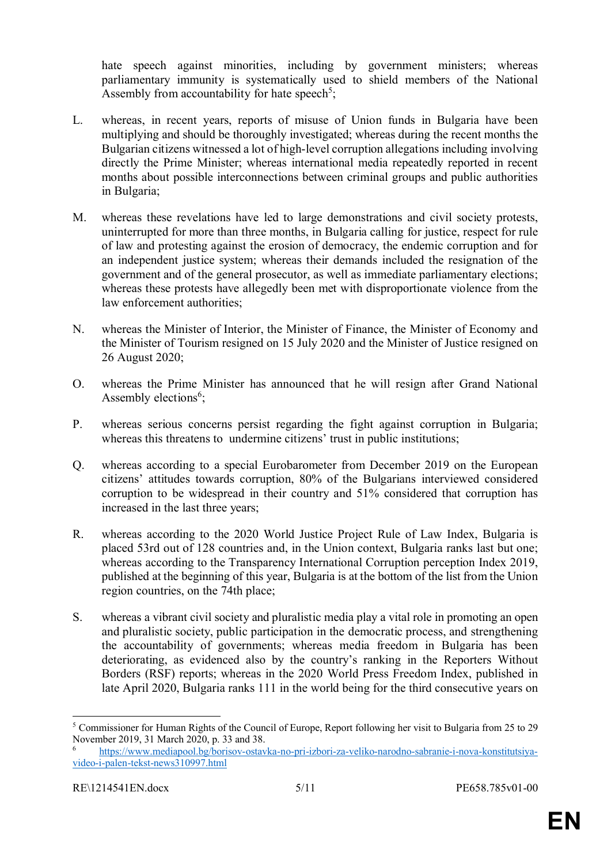hate speech against minorities, including by government ministers; whereas parliamentary immunity is systematically used to shield members of the National Assembly from accountability for hate speech<sup>5</sup>;

- L. whereas, in recent years, reports of misuse of Union funds in Bulgaria have been multiplying and should be thoroughly investigated; whereas during the recent months the Bulgarian citizens witnessed a lot of high-level corruption allegations including involving directly the Prime Minister; whereas international media repeatedly reported in recent months about possible interconnections between criminal groups and public authorities in Bulgaria;
- M. whereas these revelations have led to large demonstrations and civil society protests, uninterrupted for more than three months, in Bulgaria calling for justice, respect for rule of law and protesting against the erosion of democracy, the endemic corruption and for an independent justice system; whereas their demands included the resignation of the government and of the general prosecutor, as well as immediate parliamentary elections; whereas these protests have allegedly been met with disproportionate violence from the law enforcement authorities;
- N. whereas the Minister of Interior, the Minister of Finance, the Minister of Economy and the Minister of Tourism resigned on 15 July 2020 and the Minister of Justice resigned on 26 August 2020;
- O. whereas the Prime Minister has announced that he will resign after Grand National Assembly elections<sup>6</sup>;
- P. whereas serious concerns persist regarding the fight against corruption in Bulgaria; whereas this threatens to undermine citizens' trust in public institutions;
- Q. whereas according to a special Eurobarometer from December 2019 on the European citizens' attitudes towards corruption, 80% of the Bulgarians interviewed considered corruption to be widespread in their country and 51% considered that corruption has increased in the last three years;
- R. whereas according to the 2020 World Justice Project Rule of Law Index, Bulgaria is placed 53rd out of 128 countries and, in the Union context, Bulgaria ranks last but one; whereas according to the Transparency International Corruption perception Index 2019, published at the beginning of this year, Bulgaria is at the bottom of the list from the Union region countries, on the 74th place;
- S. whereas a vibrant civil society and pluralistic media play a vital role in promoting an open and pluralistic society, public participation in the democratic process, and strengthening the accountability of governments; whereas media freedom in Bulgaria has been deteriorating, as evidenced also by the country's ranking in the Reporters Without Borders (RSF) reports; whereas in the 2020 World Press Freedom Index, published in late April 2020, Bulgaria ranks 111 in the world being for the third consecutive years on

<sup>5</sup> Commissioner for Human Rights of the Council of Europe, Report following her visit to Bulgaria from 25 to 29 November 2019, 31 March 2020, p. 33 and 38.

<sup>6</sup> https://www.mediapool.bg/borisov-ostavka-no-pri-izbori-za-veliko-narodno-sabranie-i-nova-konstitutsiyavideo-i-palen-tekst-news310997.html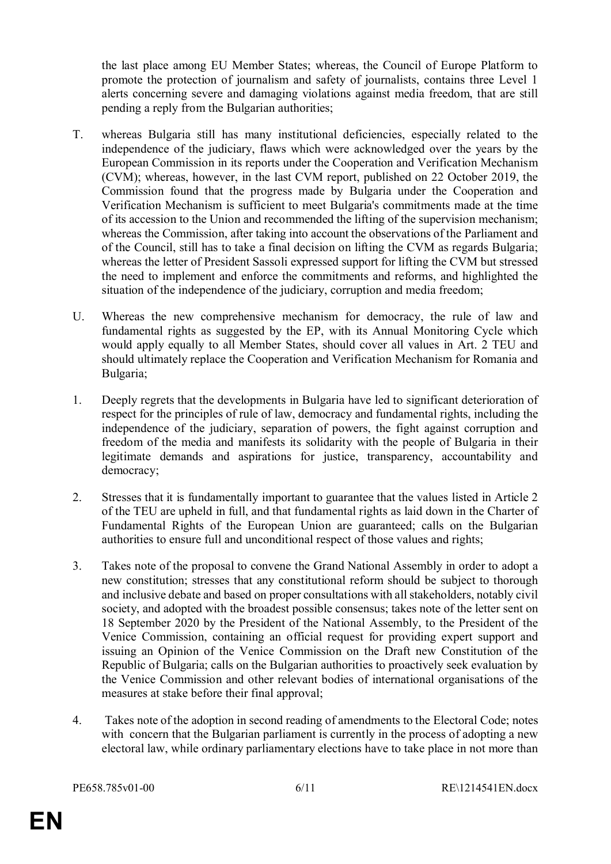the last place among EU Member States; whereas, the Council of Europe Platform to promote the protection of journalism and safety of journalists, contains three Level 1 alerts concerning severe and damaging violations against media freedom, that are still pending a reply from the Bulgarian authorities;

- T. whereas Bulgaria still has many institutional deficiencies, especially related to the independence of the judiciary, flaws which were acknowledged over the years by the European Commission in its reports under the Cooperation and Verification Mechanism (CVM); whereas, however, in the last CVM report, published on 22 October 2019, the Commission found that the progress made by Bulgaria under the Cooperation and Verification Mechanism is sufficient to meet Bulgaria's commitments made at the time of its accession to the Union and recommended the lifting of the supervision mechanism; whereas the Commission, after taking into account the observations of the Parliament and of the Council, still has to take a final decision on lifting the CVM as regards Bulgaria; whereas the letter of President Sassoli expressed support for lifting the CVM but stressed the need to implement and enforce the commitments and reforms, and highlighted the situation of the independence of the judiciary, corruption and media freedom;
- U. Whereas the new comprehensive mechanism for democracy, the rule of law and fundamental rights as suggested by the EP, with its Annual Monitoring Cycle which would apply equally to all Member States, should cover all values in Art. 2 TEU and should ultimately replace the Cooperation and Verification Mechanism for Romania and Bulgaria;
- 1. Deeply regrets that the developments in Bulgaria have led to significant deterioration of respect for the principles of rule of law, democracy and fundamental rights, including the independence of the judiciary, separation of powers, the fight against corruption and freedom of the media and manifests its solidarity with the people of Bulgaria in their legitimate demands and aspirations for justice, transparency, accountability and democracy;
- 2. Stresses that it is fundamentally important to guarantee that the values listed in Article 2 of the TEU are upheld in full, and that fundamental rights as laid down in the Charter of Fundamental Rights of the European Union are guaranteed; calls on the Bulgarian authorities to ensure full and unconditional respect of those values and rights;
- 3. Takes note of the proposal to convene the Grand National Assembly in order to adopt a new constitution; stresses that any constitutional reform should be subject to thorough and inclusive debate and based on proper consultations with all stakeholders, notably civil society, and adopted with the broadest possible consensus; takes note of the letter sent on 18 September 2020 by the President of the National Assembly, to the President of the Venice Commission, containing an official request for providing expert support and issuing an Opinion of the Venice Commission on the Draft new Constitution of the Republic of Bulgaria; calls on the Bulgarian authorities to proactively seek evaluation by the Venice Commission and other relevant bodies of international organisations of the measures at stake before their final approval;
- 4. Takes note of the adoption in second reading of amendments to the Electoral Code; notes with concern that the Bulgarian parliament is currently in the process of adopting a new electoral law, while ordinary parliamentary elections have to take place in not more than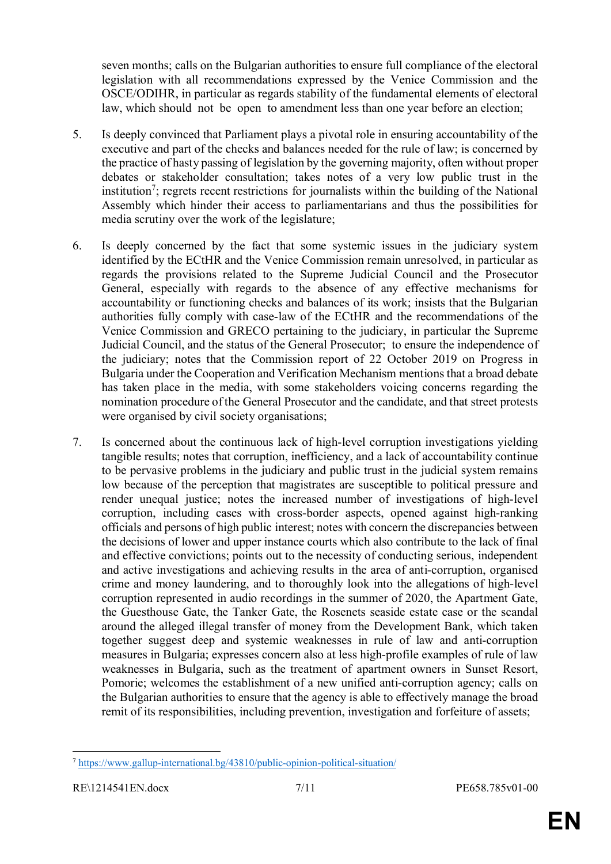seven months; calls on the Bulgarian authorities to ensure full compliance of the electoral legislation with all recommendations expressed by the Venice Commission and the OSCE/ODIHR, in particular as regards stability of the fundamental elements of electoral law, which should not be open to amendment less than one year before an election;

- 5. Is deeply convinced that Parliament plays a pivotal role in ensuring accountability of the executive and part of the checks and balances needed for the rule of law; is concerned by the practice of hasty passing of legislation by the governing majority, often without proper debates or stakeholder consultation; takes notes of a very low public trust in the institution<sup>7</sup>; regrets recent restrictions for journalists within the building of the National Assembly which hinder their access to parliamentarians and thus the possibilities for media scrutiny over the work of the legislature;
- 6. Is deeply concerned by the fact that some systemic issues in the judiciary system identified by the ECtHR and the Venice Commission remain unresolved, in particular as regards the provisions related to the Supreme Judicial Council and the Prosecutor General, especially with regards to the absence of any effective mechanisms for accountability or functioning checks and balances of its work; insists that the Bulgarian authorities fully comply with case-law of the ECtHR and the recommendations of the Venice Commission and GRECO pertaining to the judiciary, in particular the Supreme Judicial Council, and the status of the General Prosecutor; to ensure the independence of the judiciary; notes that the Commission report of 22 October 2019 on Progress in Bulgaria under the Cooperation and Verification Mechanism mentions that a broad debate has taken place in the media, with some stakeholders voicing concerns regarding the nomination procedure of the General Prosecutor and the candidate, and that street protests were organised by civil society organisations;
- 7. Is concerned about the continuous lack of high-level corruption investigations yielding tangible results; notes that corruption, inefficiency, and a lack of accountability continue to be pervasive problems in the judiciary and public trust in the judicial system remains low because of the perception that magistrates are susceptible to political pressure and render unequal justice; notes the increased number of investigations of high-level corruption, including cases with cross-border aspects, opened against high-ranking officials and persons of high public interest; notes with concern the discrepancies between the decisions of lower and upper instance courts which also contribute to the lack of final and effective convictions; points out to the necessity of conducting serious, independent and active investigations and achieving results in the area of anti-corruption, organised crime and money laundering, and to thoroughly look into the allegations of high-level corruption represented in audio recordings in the summer of 2020, the Apartment Gate, the Guesthouse Gate, the Tanker Gate, the Rosenets seaside estate case or the scandal around the alleged illegal transfer of money from the Development Bank, which taken together suggest deep and systemic weaknesses in rule of law and anti-corruption measures in Bulgaria; expresses concern also at less high-profile examples of rule of law weaknesses in Bulgaria, such as the treatment of apartment owners in Sunset Resort, Pomorie; welcomes the establishment of a new unified anti-corruption agency; calls on the Bulgarian authorities to ensure that the agency is able to effectively manage the broad remit of its responsibilities, including prevention, investigation and forfeiture of assets;

 $\overline{a}$ <sup>7</sup> https://www.gallup-international.bg/43810/public-opinion-political-situation/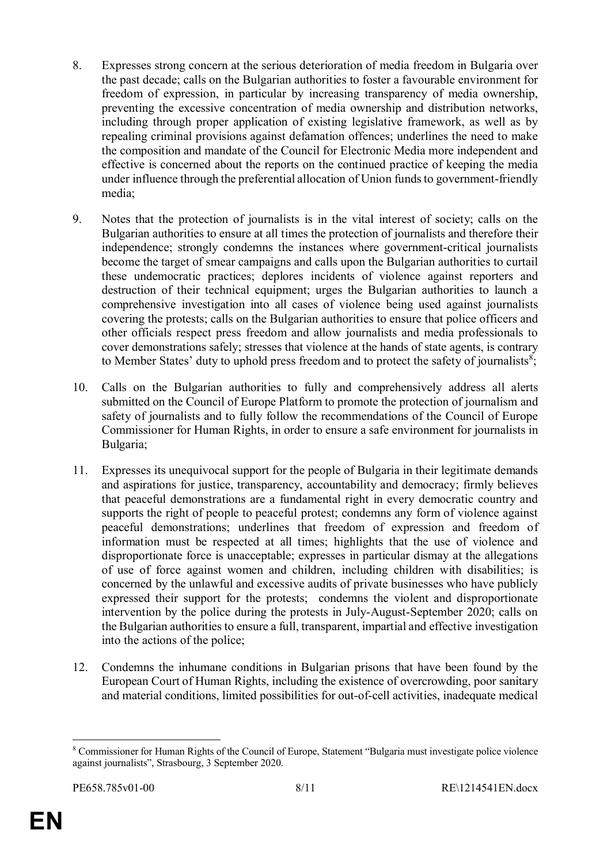- 8. Expresses strong concern at the serious deterioration of media freedom in Bulgaria over the past decade; calls on the Bulgarian authorities to foster a favourable environment for freedom of expression, in particular by increasing transparency of media ownership, preventing the excessive concentration of media ownership and distribution networks, including through proper application of existing legislative framework, as well as by repealing criminal provisions against defamation offences; underlines the need to make the composition and mandate of the Council for Electronic Media more independent and effective is concerned about the reports on the continued practice of keeping the media under influence through the preferential allocation of Union funds to government-friendly media;
- 9. Notes that the protection of journalists is in the vital interest of society; calls on the Bulgarian authorities to ensure at all times the protection of journalists and therefore their independence; strongly condemns the instances where government-critical journalists become the target of smear campaigns and calls upon the Bulgarian authorities to curtail these undemocratic practices; deplores incidents of violence against reporters and destruction of their technical equipment; urges the Bulgarian authorities to launch a comprehensive investigation into all cases of violence being used against journalists covering the protests; calls on the Bulgarian authorities to ensure that police officers and other officials respect press freedom and allow journalists and media professionals to cover demonstrations safely; stresses that violence at the hands of state agents, is contrary to Member States' duty to uphold press freedom and to protect the safety of journalists<sup>8</sup>;
- 10. Calls on the Bulgarian authorities to fully and comprehensively address all alerts submitted on the Council of Europe Platform to promote the protection of journalism and safety of journalists and to fully follow the recommendations of the Council of Europe Commissioner for Human Rights, in order to ensure a safe environment for journalists in Bulgaria;
- 11. Expresses its unequivocal support for the people of Bulgaria in their legitimate demands and aspirations for justice, transparency, accountability and democracy; firmly believes that peaceful demonstrations are a fundamental right in every democratic country and supports the right of people to peaceful protest; condemns any form of violence against peaceful demonstrations; underlines that freedom of expression and freedom of information must be respected at all times; highlights that the use of violence and disproportionate force is unacceptable; expresses in particular dismay at the allegations of use of force against women and children, including children with disabilities; is concerned by the unlawful and excessive audits of private businesses who have publicly expressed their support for the protests; condemns the violent and disproportionate intervention by the police during the protests in July-August-September 2020; calls on the Bulgarian authorities to ensure a full, transparent, impartial and effective investigation into the actions of the police;
- 12. Condemns the inhumane conditions in Bulgarian prisons that have been found by the European Court of Human Rights, including the existence of overcrowding, poor sanitary and material conditions, limited possibilities for out-of-cell activities, inadequate medical

<sup>8</sup> Commissioner for Human Rights of the Council of Europe, Statement "Bulgaria must investigate police violence against journalists", Strasbourg, 3 September 2020.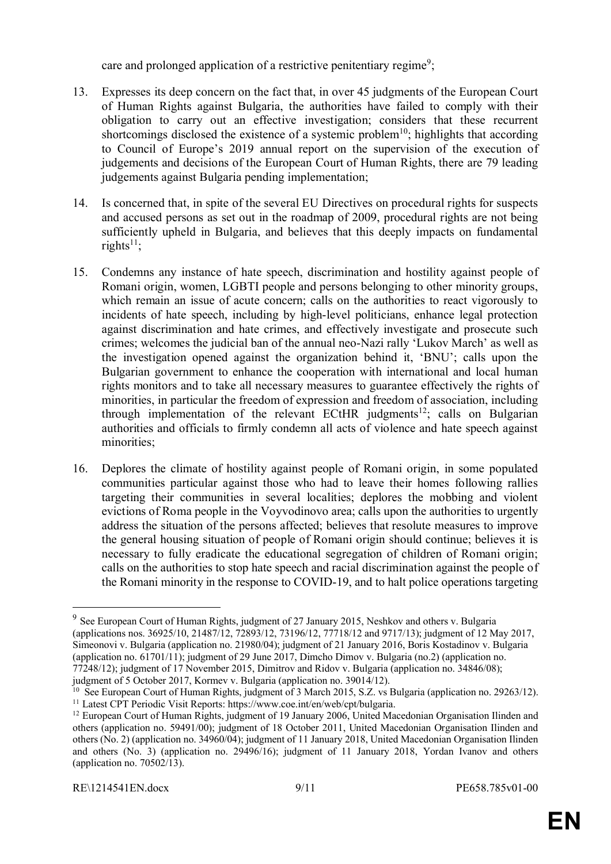care and prolonged application of a restrictive penitentiary regime<sup>9</sup>;

- 13. Expresses its deep concern on the fact that, in over 45 judgments of the European Court of Human Rights against Bulgaria, the authorities have failed to comply with their obligation to carry out an effective investigation; considers that these recurrent shortcomings disclosed the existence of a systemic problem<sup>10</sup>; highlights that according to Council of Europe's 2019 annual report on the supervision of the execution of judgements and decisions of the European Court of Human Rights, there are 79 leading judgements against Bulgaria pending implementation;
- 14. Is concerned that, in spite of the several EU Directives on procedural rights for suspects and accused persons as set out in the roadmap of 2009, procedural rights are not being sufficiently upheld in Bulgaria, and believes that this deeply impacts on fundamental rights $11$ :
- 15. Condemns any instance of hate speech, discrimination and hostility against people of Romani origin, women, LGBTI people and persons belonging to other minority groups, which remain an issue of acute concern; calls on the authorities to react vigorously to incidents of hate speech, including by high-level politicians, enhance legal protection against discrimination and hate crimes, and effectively investigate and prosecute such crimes; welcomes the judicial ban of the annual neo-Nazi rally 'Lukov March' as well as the investigation opened against the organization behind it, 'BNU'; calls upon the Bulgarian government to enhance the cooperation with international and local human rights monitors and to take all necessary measures to guarantee effectively the rights of minorities, in particular the freedom of expression and freedom of association, including through implementation of the relevant ECtHR judgments<sup>12</sup>; calls on Bulgarian authorities and officials to firmly condemn all acts of violence and hate speech against minorities;
- 16. Deplores the climate of hostility against people of Romani origin, in some populated communities particular against those who had to leave their homes following rallies targeting their communities in several localities; deplores the mobbing and violent evictions of Roma people in the Voyvodinovo area; calls upon the authorities to urgently address the situation of the persons affected; believes that resolute measures to improve the general housing situation of people of Romani origin should continue; believes it is necessary to fully eradicate the educational segregation of children of Romani origin; calls on the authorities to stop hate speech and racial discrimination against the people of the Romani minority in the response to COVID-19, and to halt police operations targeting

<sup>&</sup>lt;sup>9</sup> See European Court of Human Rights, judgment of 27 January 2015, Neshkov and others v. Bulgaria (applications nos. 36925/10, 21487/12, 72893/12, 73196/12, 77718/12 and 9717/13); judgment of 12 May 2017, Simeonovi v. Bulgaria (application no. 21980/04); judgment of 21 January 2016, Boris Kostadinov v. Bulgaria (application no. 61701/11); judgment of 29 June 2017, Dimcho Dimov v. Bulgaria (no.2) (application no. 77248/12); judgment of 17 November 2015, Dimitrov and Ridov v. Bulgaria (application no. 34846/08); judgment of 5 October 2017, Kormev v. Bulgaria (application no. 39014/12).

<sup>&</sup>lt;sup>10</sup> See European Court of Human Rights, judgment of 3 March 2015, S.Z. vs Bulgaria (application no. 29263/12). <sup>11</sup> Latest CPT Periodic Visit Reports: https://www.coe.int/en/web/cpt/bulgaria.

<sup>&</sup>lt;sup>12</sup> European Court of Human Rights, judgment of 19 January 2006, United Macedonian Organisation Ilinden and others (application no. 59491/00); judgment of 18 October 2011, United Macedonian Organisation Ilinden and others (No. 2) (application no. 34960/04); judgment of 11 January 2018, United Macedonian Organisation Ilinden and others (No. 3) (application no. 29496/16); judgment of 11 January 2018, Yordan Ivanov and others (application no. 70502/13).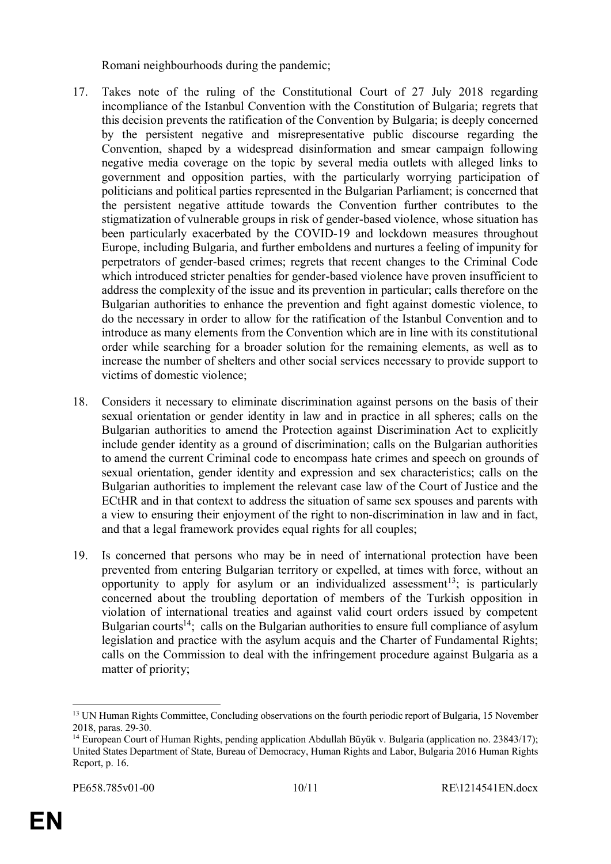Romani neighbourhoods during the pandemic;

- 17. Takes note of the ruling of the Constitutional Court of 27 July 2018 regarding incompliance of the Istanbul Convention with the Constitution of Bulgaria; regrets that this decision prevents the ratification of the Convention by Bulgaria; is deeply concerned by the persistent negative and misrepresentative public discourse regarding the Convention, shaped by a widespread disinformation and smear campaign following negative media coverage on the topic by several media outlets with alleged links to government and opposition parties, with the particularly worrying participation of politicians and political parties represented in the Bulgarian Parliament; is concerned that the persistent negative attitude towards the Convention further contributes to the stigmatization of vulnerable groups in risk of gender-based violence, whose situation has been particularly exacerbated by the COVID-19 and lockdown measures throughout Europe, including Bulgaria, and further emboldens and nurtures a feeling of impunity for perpetrators of gender-based crimes; regrets that recent changes to the Criminal Code which introduced stricter penalties for gender-based violence have proven insufficient to address the complexity of the issue and its prevention in particular; calls therefore on the Bulgarian authorities to enhance the prevention and fight against domestic violence, to do the necessary in order to allow for the ratification of the Istanbul Convention and to introduce as many elements from the Convention which are in line with its constitutional order while searching for a broader solution for the remaining elements, as well as to increase the number of shelters and other social services necessary to provide support to victims of domestic violence;
- 18. Considers it necessary to eliminate discrimination against persons on the basis of their sexual orientation or gender identity in law and in practice in all spheres; calls on the Bulgarian authorities to amend the Protection against Discrimination Act to explicitly include gender identity as a ground of discrimination; calls on the Bulgarian authorities to amend the current Criminal code to encompass hate crimes and speech on grounds of sexual orientation, gender identity and expression and sex characteristics; calls on the Bulgarian authorities to implement the relevant case law of the Court of Justice and the ECtHR and in that context to address the situation of same sex spouses and parents with a view to ensuring their enjoyment of the right to non-discrimination in law and in fact, and that a legal framework provides equal rights for all couples;
- 19. Is concerned that persons who may be in need of international protection have been prevented from entering Bulgarian territory or expelled, at times with force, without an opportunity to apply for asylum or an individualized assessment<sup>13</sup>; is particularly concerned about the troubling deportation of members of the Turkish opposition in violation of international treaties and against valid court orders issued by competent Bulgarian courts<sup>14</sup>; calls on the Bulgarian authorities to ensure full compliance of asylum legislation and practice with the asylum acquis and the Charter of Fundamental Rights; calls on the Commission to deal with the infringement procedure against Bulgaria as a matter of priority;

<sup>&</sup>lt;sup>13</sup> UN Human Rights Committee, Concluding observations on the fourth periodic report of Bulgaria, 15 November 2018, paras. 29-30.

<sup>&</sup>lt;sup>14</sup> European Court of Human Rights, pending application Abdullah Büyük v. Bulgaria (application no. 23843/17); United States Department of State, Bureau of Democracy, Human Rights and Labor, Bulgaria 2016 Human Rights Report, p. 16.